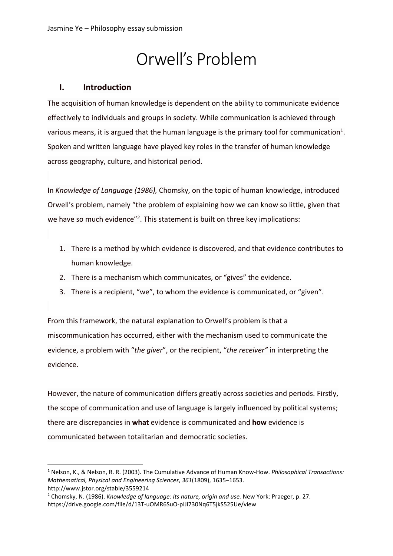# Orwell's Problem

## **I. Introduction**

The acquisition of human knowledge is dependent on the ability to communicate evidence effectively to individuals and groups in society. While communication is achieved through various means, it is argued that the human language is the primary tool for communication<sup>1</sup>. Spoken and written language have played key roles in the transfer of human knowledge across geography, culture, and historical period.

In *Knowledge of Language (1986),* Chomsky, on the topic of human knowledge, introduced Orwell's problem, namely "the problem of explaining how we can know so little, given that we have so much evidence"<sup>2</sup>. This statement is built on three key implications:

- 1. There is a method by which evidence is discovered, and that evidence contributes to human knowledge.
- 2. There is a mechanism which communicates, or "gives" the evidence.
- 3. There is a recipient, "we", to whom the evidence is communicated, or "given".

From this framework, the natural explanation to Orwell's problem is that a miscommunication has occurred, either with the mechanism used to communicate the evidence, a problem with "*the giver*", or the recipient, "*the receiver"* in interpreting the evidence.

However, the nature of communication differs greatly across societies and periods. Firstly, the scope of communication and use of language is largely influenced by political systems; there are discrepancies in **what** evidence is communicated and **how** evidence is communicated between totalitarian and democratic societies.

```
http://www.jstor.org/stable/3559214
```
<sup>1</sup> Nelson, K., & Nelson, R. R. (2003). The Cumulative Advance of Human Know-How. *Philosophical Transactions: Mathematical, Physical and Engineering Sciences*, *361*(1809), 1635–1653.

<sup>2</sup> Chomsky, N. (1986). *Knowledge of language: Its nature, origin and use.* New York: Praeger, p. 27. https://drive.google.com/file/d/13T-uOMR6SuO-pIJl730Nq6T5jkS525Ue/view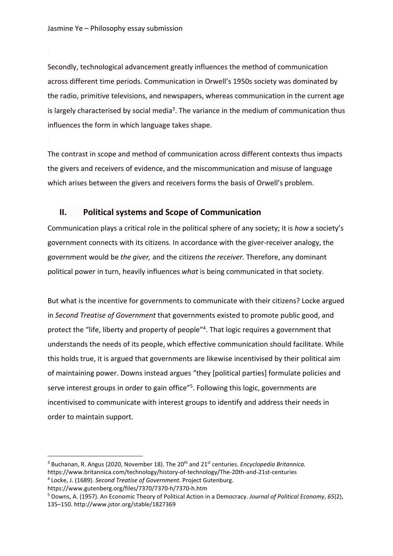Secondly, technological advancement greatly influences the method of communication across different time periods. Communication in Orwell's 1950s society was dominated by the radio, primitive televisions, and newspapers, whereas communication in the current age is largely characterised by social media<sup>3</sup>. The variance in the medium of communication thus influences the form in which language takes shape.

The contrast in scope and method of communication across different contexts thus impacts the givers and receivers of evidence, and the miscommunication and misuse of language which arises between the givers and receivers forms the basis of Orwell's problem.

### **II. Political systems and Scope of Communication**

Communication plays a critical role in the political sphere of any society; it is *how* a society's government connects with its citizens. In accordance with the giver-receiver analogy, the government would be *the giver,* and the citizens *the receiver.* Therefore, any dominant political power in turn, heavily influences *what* is being communicated in that society.

But what is the incentive for governments to communicate with their citizens? Locke argued in *Second Treatise of Government* that governments existed to promote public good, and protect the "life, liberty and property of people"4. That logic requires a government that understands the needs of its people, which effective communication should facilitate. While this holds true, it is argued that governments are likewise incentivised by their political aim of maintaining power. Downs instead argues "they [political parties] formulate policies and serve interest groups in order to gain office"<sup>5</sup>. Following this logic, governments are incentivised to communicate with interest groups to identify and address their needs in order to maintain support.

<sup>&</sup>lt;sup>3</sup> Buchanan, R. Angus (2020, November 18). The 20<sup>th</sup> and 21<sup>st</sup> centuries. *Encyclopedia Britannica*. https://www.britannica.com/technology/history-of-technology/The-20th-and-21st-centuries

<sup>4</sup> Locke, J. (1689). *Second Treatise of Government.* Project Gutenburg.

https://www.gutenberg.org/files/7370/7370-h/7370-h.htm

<sup>5</sup> Downs, A. (1957). An Economic Theory of Political Action in a Democracy. *Journal of Political Economy*, *65*(2), 135–150. http://www.jstor.org/stable/1827369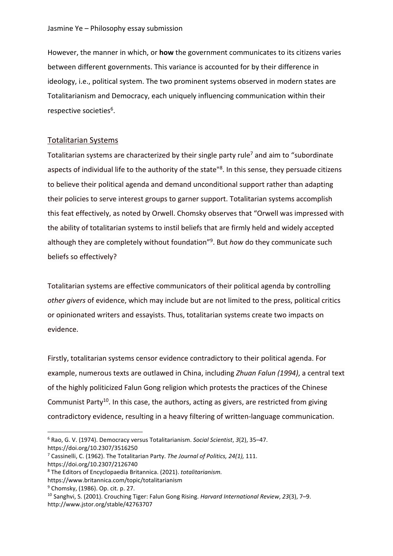However, the manner in which, or **how** the government communicates to its citizens varies between different governments. This variance is accounted for by their difference in ideology, i.e., political system. The two prominent systems observed in modern states are Totalitarianism and Democracy, each uniquely influencing communication within their respective societies<sup>6</sup>.

## Totalitarian Systems

Totalitarian systems are characterized by their single party rule<sup>7</sup> and aim to "subordinate" aspects of individual life to the authority of the state<sup>18</sup>. In this sense, they persuade citizens to believe their political agenda and demand unconditional support rather than adapting their policies to serve interest groups to garner support. Totalitarian systems accomplish this feat effectively, as noted by Orwell. Chomsky observes that "Orwell was impressed with the ability of totalitarian systems to instil beliefs that are firmly held and widely accepted although they are completely without foundation"9. But *how* do they communicate such beliefs so effectively?

Totalitarian systems are effective communicators of their political agenda by controlling *other givers* of evidence, which may include but are not limited to the press, political critics or opinionated writers and essayists. Thus, totalitarian systems create two impacts on evidence.

Firstly, totalitarian systems censor evidence contradictory to their political agenda. For example, numerous texts are outlawed in China, including *Zhuan Falun (1994)*, a central text of the highly politicized Falun Gong religion which protests the practices of the Chinese Communist Party<sup>10</sup>. In this case, the authors, acting as givers, are restricted from giving contradictory evidence, resulting in a heavy filtering of written-language communication.

<sup>6</sup> Rao, G. V. (1974). Democracy versus Totalitarianism. *Social Scientist*, *3*(2), 35–47. https://doi.org/10.2307/3516250

<sup>7</sup> Cassinelli, C. (1962). The Totalitarian Party. *The Journal of Politics, 24(1),* 111.

https://doi.org/10.2307/2126740

<sup>8</sup> The Editors of Encyclopaedia Britannica. (2021). *totalitarianism.*

https://www.britannica.com/topic/totalitarianism

<sup>9</sup> Chomsky, (1986). Op. cit. p. 27.

<sup>10</sup> Sanghvi, S. (2001). Crouching Tiger: Falun Gong Rising. *Harvard International Review*, *23*(3), 7–9. http://www.jstor.org/stable/42763707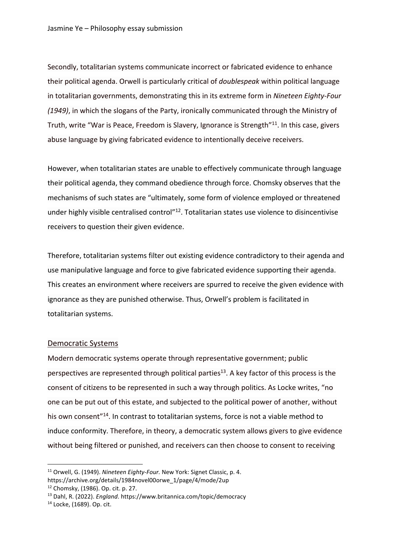Secondly, totalitarian systems communicate incorrect or fabricated evidence to enhance their political agenda. Orwell is particularly critical of *doublespeak* within political language in totalitarian governments, demonstrating this in its extreme form in *Nineteen Eighty-Four (1949)*, in which the slogans of the Party, ironically communicated through the Ministry of Truth, write "War is Peace, Freedom is Slavery, Ignorance is Strength"11. In this case, givers abuse language by giving fabricated evidence to intentionally deceive receivers.

However, when totalitarian states are unable to effectively communicate through language their political agenda, they command obedience through force. Chomsky observes that the mechanisms of such states are "ultimately, some form of violence employed or threatened under highly visible centralised control"<sup>12</sup>. Totalitarian states use violence to disincentivise receivers to question their given evidence.

Therefore, totalitarian systems filter out existing evidence contradictory to their agenda and use manipulative language and force to give fabricated evidence supporting their agenda. This creates an environment where receivers are spurred to receive the given evidence with ignorance as they are punished otherwise. Thus, Orwell's problem is facilitated in totalitarian systems.

#### Democratic Systems

Modern democratic systems operate through representative government; public perspectives are represented through political parties<sup>13</sup>. A key factor of this process is the consent of citizens to be represented in such a way through politics. As Locke writes, "no one can be put out of this estate, and subjected to the political power of another, without his own consent<sup>"14</sup>. In contrast to totalitarian systems, force is not a viable method to induce conformity. Therefore, in theory, a democratic system allows givers to give evidence without being filtered or punished, and receivers can then choose to consent to receiving

<sup>11</sup> Orwell, G. (1949). *Nineteen Eighty-Four.* New York: Signet Classic, p. 4. https://archive.org/details/1984novel00orwe\_1/page/4/mode/2up

<sup>12</sup> Chomsky, (1986). Op. cit. p. 27.

<sup>13</sup> Dahl, R. (2022). *England*. https://www.britannica.com/topic/democracy

<sup>14</sup> Locke, (1689). Op. cit.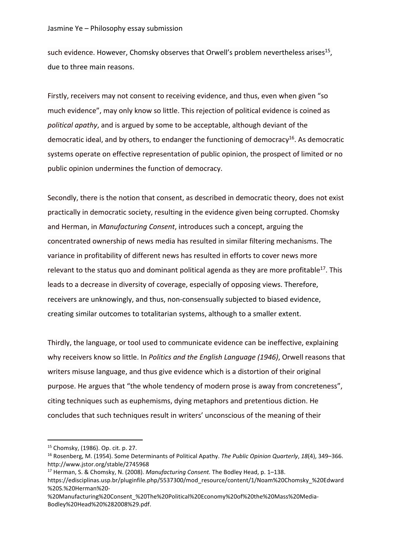such evidence. However, Chomsky observes that Orwell's problem nevertheless arises<sup>15</sup>, due to three main reasons.

Firstly, receivers may not consent to receiving evidence, and thus, even when given "so much evidence", may only know so little. This rejection of political evidence is coined as *political apathy*, and is argued by some to be acceptable, although deviant of the democratic ideal, and by others, to endanger the functioning of democracy<sup>16</sup>. As democratic systems operate on effective representation of public opinion, the prospect of limited or no public opinion undermines the function of democracy.

Secondly, there is the notion that consent, as described in democratic theory, does not exist practically in democratic society, resulting in the evidence given being corrupted. Chomsky and Herman, in *Manufacturing Consent*, introduces such a concept, arguing the concentrated ownership of news media has resulted in similar filtering mechanisms. The variance in profitability of different news has resulted in efforts to cover news more relevant to the status quo and dominant political agenda as they are more profitable<sup>17</sup>. This leads to a decrease in diversity of coverage, especially of opposing views. Therefore, receivers are unknowingly, and thus, non-consensually subjected to biased evidence, creating similar outcomes to totalitarian systems, although to a smaller extent.

Thirdly, the language, or tool used to communicate evidence can be ineffective, explaining why receivers know so little. In *Politics and the English Language (1946)*, Orwell reasons that writers misuse language, and thus give evidence which is a distortion of their original purpose. He argues that "the whole tendency of modern prose is away from concreteness", citing techniques such as euphemisms, dying metaphors and pretentious diction. He concludes that such techniques result in writers' unconscious of the meaning of their

<sup>15</sup> Chomsky, (1986). Op. cit. p. 27.

<sup>16</sup> Rosenberg, M. (1954). Some Determinants of Political Apathy. *The Public Opinion Quarterly*, *18*(4), 349–366. http://www.jstor.org/stable/2745968

<sup>17</sup> Herman, S. & Chomsky, N. (2008). *Manufacturing Consent.* The Bodley Head, p. 1–138.

https://edisciplinas.usp.br/pluginfile.php/5537300/mod\_resource/content/1/Noam%20Chomsky\_%20Edward %20S.%20Herman%20-

<sup>%20</sup>Manufacturing%20Consent\_%20The%20Political%20Economy%20of%20the%20Mass%20Media-Bodley%20Head%20%282008%29.pdf.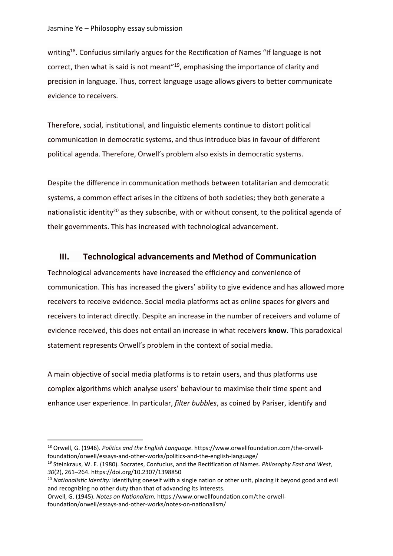writing<sup>18</sup>. Confucius similarly argues for the Rectification of Names "If language is not correct, then what is said is not meant"<sup>19</sup>, emphasising the importance of clarity and precision in language. Thus, correct language usage allows givers to better communicate evidence to receivers.

Therefore, social, institutional, and linguistic elements continue to distort political communication in democratic systems, and thus introduce bias in favour of different political agenda. Therefore, Orwell's problem also exists in democratic systems.

Despite the difference in communication methods between totalitarian and democratic systems, a common effect arises in the citizens of both societies; they both generate a nationalistic identity<sup>20</sup> as they subscribe, with or without consent, to the political agenda of their governments. This has increased with technological advancement.

## **III. Technological advancements and Method of Communication**

Technological advancements have increased the efficiency and convenience of communication. This has increased the givers' ability to give evidence and has allowed more receivers to receive evidence. Social media platforms act as online spaces for givers and receivers to interact directly. Despite an increase in the number of receivers and volume of evidence received, this does not entail an increase in what receivers **know**. This paradoxical statement represents Orwell's problem in the context of social media.

A main objective of social media platforms is to retain users, and thus platforms use complex algorithms which analyse users' behaviour to maximise their time spent and enhance user experience. In particular, *filter bubbles*, as coined by Pariser, identify and

<sup>18</sup> Orwell, G. (1946). *Politics and the English Language*. https://www.orwellfoundation.com/the-orwellfoundation/orwell/essays-and-other-works/politics-and-the-english-language/

<sup>19</sup> Steinkraus, W. E. (1980). Socrates, Confucius, and the Rectification of Names. *Philosophy East and West*, *30*(2), 261–264. https://doi.org/10.2307/1398850

<sup>20</sup> *Nationalistic Identity:* identifying oneself with a single nation or other unit, placing it beyond good and evil and recognizing no other duty than that of advancing its interests.

Orwell, G. (1945). *Notes on Nationalism.* https://www.orwellfoundation.com/the-orwellfoundation/orwell/essays-and-other-works/notes-on-nationalism/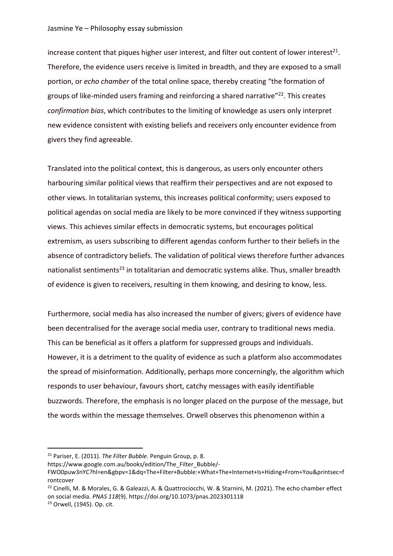#### Jasmine Ye – Philosophy essay submission

increase content that piques higher user interest, and filter out content of lower interest<sup>21</sup>. Therefore, the evidence users receive is limited in breadth, and they are exposed to a small portion, or *echo chamber* of the total online space, thereby creating "the formation of groups of like-minded users framing and reinforcing a shared narrative"22. This creates *confirmation bias*, which contributes to the limiting of knowledge as users only interpret new evidence consistent with existing beliefs and receivers only encounter evidence from givers they find agreeable.

Translated into the political context, this is dangerous, as users only encounter others harbouring similar political views that reaffirm their perspectives and are not exposed to other views. In totalitarian systems, this increases political conformity; users exposed to political agendas on social media are likely to be more convinced if they witness supporting views. This achieves similar effects in democratic systems, but encourages political extremism, as users subscribing to different agendas conform further to their beliefs in the absence of contradictory beliefs. The validation of political views therefore further advances nationalist sentiments<sup>23</sup> in totalitarian and democratic systems alike. Thus, smaller breadth of evidence is given to receivers, resulting in them knowing, and desiring to know, less.

Furthermore, social media has also increased the number of givers; givers of evidence have been decentralised for the average social media user, contrary to traditional news media. This can be beneficial as it offers a platform for suppressed groups and individuals. However, it is a detriment to the quality of evidence as such a platform also accommodates the spread of misinformation. Additionally, perhaps more concerningly, the algorithm which responds to user behaviour, favours short, catchy messages with easily identifiable buzzwords. Therefore, the emphasis is no longer placed on the purpose of the message, but the words within the message themselves. Orwell observes this phenomenon within a

https://www.google.com.au/books/edition/The\_Filter\_Bubble/-

<sup>21</sup> Pariser, E. (2011). *The Filter Bubble.* Penguin Group, p. 8.

FWO0puw3nYC?hl=en&gbpv=1&dq=The+Filter+Bubble:+What+The+Internet+Is+Hiding+From+You&printsec=f rontcover

<sup>&</sup>lt;sup>22</sup> Cinelli, M. & Morales, G. & Galeazzi, A. & Quattrociocchi, W. & Starnini, M. (2021). The echo chamber effect on social media. *PNAS 118*(9). https://doi.org/10.1073/pnas.2023301118

<sup>23</sup> Orwell, (1945). Op. cit.